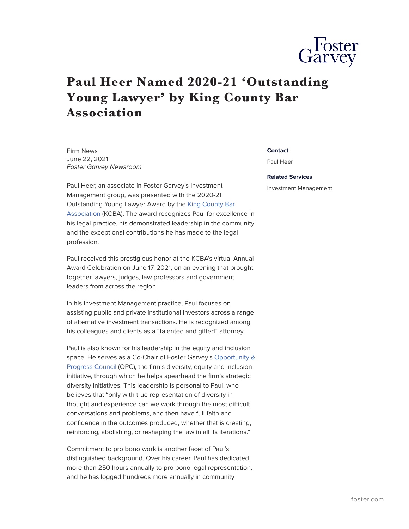

## **Paul Heer Named 2020-21 'Outstanding Young Lawyer' by King County Bar Association**

Firm News June 22, 2021 *Foster Garvey Newsroom*

Paul Heer, an associate in Foster Garvey's Investment Management group, was presented with the 2020-21 Outstanding Young Lawyer Award by the [King County Bar](http://www.kcba.org/) [Association](http://www.kcba.org/) (KCBA). The award recognizes Paul for excellence in his legal practice, his demonstrated leadership in the community and the exceptional contributions he has made to the legal profession.

Paul received this prestigious honor at the KCBA's virtual Annual Award Celebration on June 17, 2021, on an evening that brought together lawyers, judges, law professors and government leaders from across the region.

In his Investment Management practice, Paul focuses on assisting public and private institutional investors across a range of alternative investment transactions. He is recognized among his colleagues and clients as a "talented and gifted" attorney.

Paul is also known for his leadership in the equity and inclusion space. He serves as a Co-Chair of Foster Garvey's [Opportunity &](https://www.foster.com/ourfirm-diversity-opportunity) [Progress Council](https://www.foster.com/ourfirm-diversity-opportunity) (OPC), the firm's diversity, equity and inclusion initiative, through which he helps spearhead the firm's strategic diversity initiatives. This leadership is personal to Paul, who believes that "only with true representation of diversity in thought and experience can we work through the most difficult conversations and problems, and then have full faith and confidence in the outcomes produced, whether that is creating, reinforcing, abolishing, or reshaping the law in all its iterations."

Commitment to pro bono work is another facet of Paul's distinguished background. Over his career, Paul has dedicated more than 250 hours annually to pro bono legal representation, and he has logged hundreds more annually in community

## **Contact**

Paul Heer

## **Related Services**

Investment Management